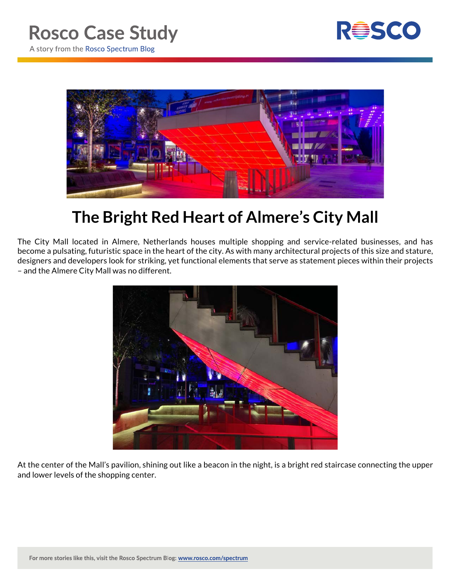



## **The Bright Red Heart of Almere's City Mall**

The City Mall located in Almere, Netherlands houses multiple shopping and service-related businesses, and has become a pulsating, futuristic space in the heart of the city. As with many architectural projects of this size and stature, designers and developers look for striking, yet functional elements that serve as statement pieces within their projects – and the Almere City Mall was no different.



At the center of the Mall's pavilion, shining out like a beacon in the night, is a bright red staircase connecting the upper and lower levels of the shopping center.